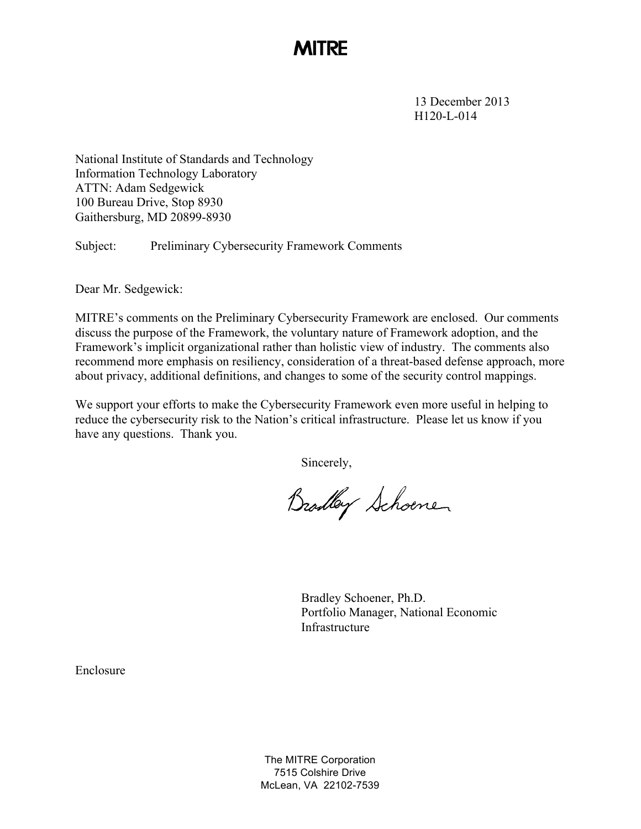## **MITRE**

13 December 2013 H120-L-014

National Institute of Standards and Technology Information Technology Laboratory ATTN: Adam Sedgewick 100 Bureau Drive, Stop 8930 Gaithersburg, MD 20899-8930

Subject: Preliminary Cybersecurity Framework Comments

Dear Mr. Sedgewick:

MITRE's comments on the Preliminary Cybersecurity Framework are enclosed. Our comments discuss the purpose of the Framework, the voluntary nature of Framework adoption, and the Framework's implicit organizational rather than holistic view of industry. The comments also recommend more emphasis on resiliency, consideration of a threat-based defense approach, more about privacy, additional definitions, and changes to some of the security control mappings.

 reduce the cybersecurity risk to the Nation's critical infrastructure. Please let us know if you We support your efforts to make the Cybersecurity Framework even more useful in helping to have any questions. Thank you.

Sincerely,

Bradley Schoene

 Portfolio Manager, National Economic Bradley Schoener, Ph.D. Infrastructure

Enclosure

 The MITRE Corporation McLean, VA 22102-7539 7515 Colshire Drive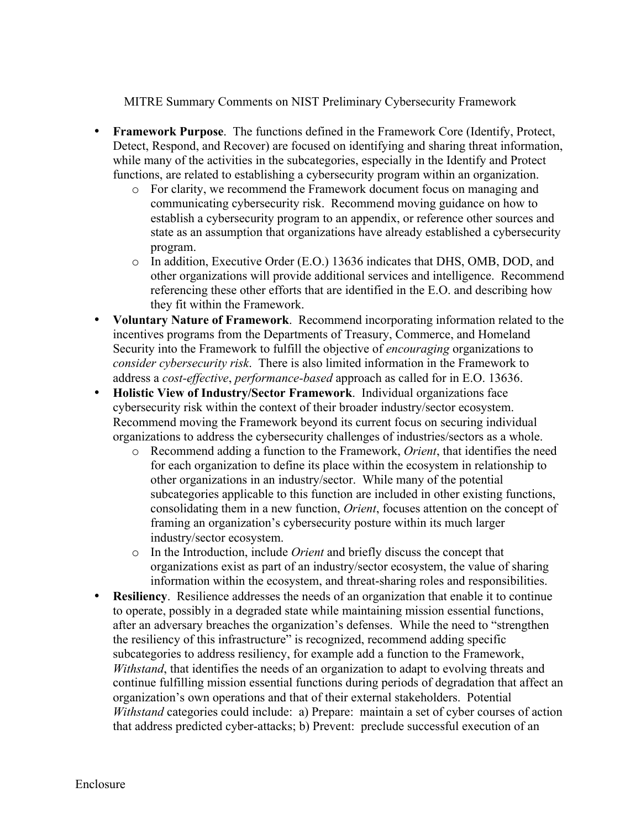MITRE Summary Comments on NIST Preliminary Cybersecurity Framework

- • **Framework Purpose**. The functions defined in the Framework Core (Identify, Protect, Detect, Respond, and Recover) are focused on identifying and sharing threat information, while many of the activities in the subcategories, especially in the Identify and Protect functions, are related to establishing a cybersecurity program within an organization.
	- o For clarity, we recommend the Framework document focus on managing and communicating cybersecurity risk. Recommend moving guidance on how to establish a cybersecurity program to an appendix, or reference other sources and state as an assumption that organizations have already established a cybersecurity program.
	- $\circ$  In addition, Executive Order (E.O.) 13636 indicates that DHS, OMB, DOD, and other organizations will provide additional services and intelligence. Recommend referencing these other efforts that are identified in the E.O. and describing how they fit within the Framework.
- • **Voluntary Nature of Framework**. Recommend incorporating information related to the incentives programs from the Departments of Treasury, Commerce, and Homeland Security into the Framework to fulfill the objective of *encouraging* organizations to *consider cybersecurity risk*. There is also limited information in the Framework to address a *cost-effective*, *performance-based* approach as called for in E.O. 13636.
- • **Holistic View of Industry/Sector Framework**. Individual organizations face cybersecurity risk within the context of their broader industry/sector ecosystem. Recommend moving the Framework beyond its current focus on securing individual organizations to address the cybersecurity challenges of industries/sectors as a whole.
	- o Recommend adding a function to the Framework, *Orient*, that identifies the need for each organization to define its place within the ecosystem in relationship to other organizations in an industry/sector. While many of the potential subcategories applicable to this function are included in other existing functions, consolidating them in a new function, *Orient*, focuses attention on the concept of framing an organization's cybersecurity posture within its much larger industry/sector ecosystem.
	- o In the Introduction, include *Orient* and briefly discuss the concept that organizations exist as part of an industry/sector ecosystem, the value of sharing information within the ecosystem, and threat-sharing roles and responsibilities.
- *Withstand* categories could include: a) Prepare: maintain a set of cyber courses of action • **Resiliency**. Resilience addresses the needs of an organization that enable it to continue to operate, possibly in a degraded state while maintaining mission essential functions, after an adversary breaches the organization's defenses. While the need to "strengthen the resiliency of this infrastructure" is recognized, recommend adding specific subcategories to address resiliency, for example add a function to the Framework, *Withstand*, that identifies the needs of an organization to adapt to evolving threats and continue fulfilling mission essential functions during periods of degradation that affect an organization's own operations and that of their external stakeholders. Potential that address predicted cyber-attacks; b) Prevent: preclude successful execution of an